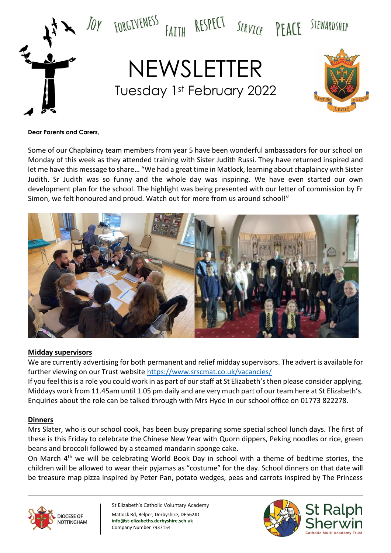

#### **Dear Parents and Carers,**

Some of our Chaplaincy team members from year 5 have been wonderful ambassadors for our school on Monday of this week as they attended training with Sister Judith Russi. They have returned inspired and let me have this message to share… "We had a great time in Matlock, learning about chaplaincy with Sister Judith. Sr Judith was so funny and the whole day was inspiring. We have even started our own development plan for the school. The highlight was being presented with our letter of commission by Fr Simon, we felt honoured and proud. Watch out for more from us around school!"



#### **Midday supervisors**

We are currently advertising for both permanent and relief midday supervisors. The advert is available for further viewing on our Trust website<https://www.srscmat.co.uk/vacancies/>

If you feel this is a role you could work in as part of our staff at St Elizabeth's then please consider applying. Middays work from 11.45am until 1.05 pm daily and are very much part of our team here at St Elizabeth's. Enquiries about the role can be talked through with Mrs Hyde in our school office on 01773 822278.

### **Dinners**

Mrs Slater, who is our school cook, has been busy preparing some special school lunch days. The first of these is this Friday to celebrate the Chinese New Year with Quorn dippers, Peking noodles or rice, green beans and broccoli followed by a steamed mandarin sponge cake.

On March 4<sup>th</sup> we will be celebrating World Book Day in school with a theme of bedtime stories, the children will be allowed to wear their pyjamas as "costume" for the day. School dinners on that date will be treasure map pizza inspired by Peter Pan, potato wedges, peas and carrots inspired by The Princess



St Elizabeth's Catholic Voluntary Academy Matlock Rd, Belper, Derbyshire, DE562JD **info@st-elizabeths.derbyshire.sch.uk** Company Number 7937154

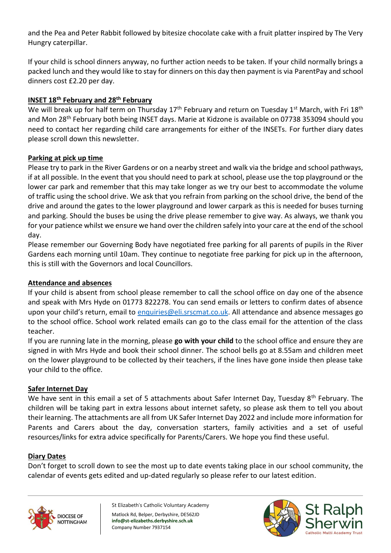and the Pea and Peter Rabbit followed by bitesize chocolate cake with a fruit platter inspired by The Very Hungry caterpillar.

If your child is school dinners anyway, no further action needs to be taken. If your child normally brings a packed lunch and they would like to stay for dinners on this day then payment is via ParentPay and school dinners cost £2.20 per day.

# **INSET 18th February and 28th February**

We will break up for half term on Thursday 17<sup>th</sup> February and return on Tuesday 1<sup>st</sup> March, with Fri 18<sup>th</sup> and Mon 28<sup>th</sup> February both being INSET days. Marie at Kidzone is available on 07738 353094 should you need to contact her regarding child care arrangements for either of the INSETs. For further diary dates please scroll down this newsletter.

# **Parking at pick up time**

Please try to park in the River Gardens or on a nearby street and walk via the bridge and school pathways, if at all possible. In the event that you should need to park at school, please use the top playground or the lower car park and remember that this may take longer as we try our best to accommodate the volume of traffic using the school drive. We ask that you refrain from parking on the school drive, the bend of the drive and around the gates to the lower playground and lower carpark as this is needed for buses turning and parking. Should the buses be using the drive please remember to give way. As always, we thank you for your patience whilst we ensure we hand over the children safely into your care at the end of the school day.

Please remember our Governing Body have negotiated free parking for all parents of pupils in the River Gardens each morning until 10am. They continue to negotiate free parking for pick up in the afternoon, this is still with the Governors and local Councillors.

# **Attendance and absences**

If your child is absent from school please remember to call the school office on day one of the absence and speak with Mrs Hyde on 01773 822278. You can send emails or letters to confirm dates of absence upon your child's return, email to [enquiries@eli.srscmat.co.uk.](mailto:enquiries@eli.srscmat.co.uk) All attendance and absence messages go to the school office. School work related emails can go to the class email for the attention of the class teacher.

If you are running late in the morning, please **go with your child** to the school office and ensure they are signed in with Mrs Hyde and book their school dinner. The school bells go at 8.55am and children meet on the lower playground to be collected by their teachers, if the lines have gone inside then please take your child to the office.

# **Safer Internet Day**

We have sent in this email a set of 5 attachments about Safer Internet Day, Tuesday 8<sup>th</sup> February. The children will be taking part in extra lessons about internet safety, so please ask them to tell you about their learning. The attachments are all from UK Safer Internet Day 2022 and include more information for Parents and Carers about the day, conversation starters, family activities and a set of useful resources/links for extra advice specifically for Parents/Carers. We hope you find these useful.

# **Diary Dates**

Don't forget to scroll down to see the most up to date events taking place in our school community, the calendar of events gets edited and up-dated regularly so please refer to our latest edition.



St Elizabeth's Catholic Voluntary Academy Matlock Rd, Belper, Derbyshire, DE562JD **info@st-elizabeths.derbyshire.sch.uk** Company Number 7937154

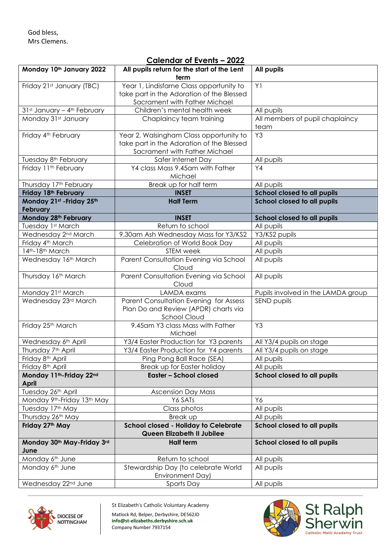### **Calendar of Events – 2022**

| Monday 10th January 2022                            | All pupils return for the start of the Lent                                | All pupils                         |
|-----------------------------------------------------|----------------------------------------------------------------------------|------------------------------------|
|                                                     | term                                                                       | Y1                                 |
| Friday 21st January (TBC)                           | Year 1, Lindisfarne Class opportunity to                                   |                                    |
|                                                     | take part in the Adoration of the Blessed<br>Sacrament with Father Michael |                                    |
| 31st January - 4th February                         | Children's mental health week                                              | All pupils                         |
| Monday 31st January                                 | Chaplaincy team training                                                   | All members of pupil chaplaincy    |
|                                                     |                                                                            | team                               |
| Friday 4 <sup>th</sup> February                     | Year 2, Walsingham Class opportunity to                                    | Y3                                 |
|                                                     | take part in the Adoration of the Blessed                                  |                                    |
|                                                     | Sacrament with Father Michael                                              |                                    |
| Tuesday 8 <sup>th</sup> February                    | Safer Internet Day                                                         | All pupils                         |
| Friday 11th February                                | Y4 class Mass 9.45am with Father                                           | Y <sub>4</sub>                     |
|                                                     | Michael                                                                    |                                    |
| Thursday 17th February                              | Break up for half term                                                     | All pupils                         |
| Friday 18th February                                | <b>INSET</b>                                                               | School closed to all pupils        |
| Monday 21st - Friday 25th                           | <b>Half Term</b>                                                           | <b>School closed to all pupils</b> |
| February                                            |                                                                            |                                    |
| Monday 28th February                                | <b>INSET</b>                                                               | <b>School closed to all pupils</b> |
| Tuesday 1st March                                   | Return to school                                                           | All pupils                         |
| Wednesday 2nd March                                 | 9.30am Ash Wednesday Mass for Y3/KS2                                       | Y3/KS2 pupils                      |
| Friday 4th March                                    | Celebration of World Book Day                                              | All pupils                         |
| 14th-18th March                                     | STEM week                                                                  | All pupils                         |
| Wednesday 16th March                                | Parent Consultation Evening via School<br>Cloud                            | All pupils                         |
| Thursday 16th March                                 | Parent Consultation Evening via School                                     | All pupils                         |
|                                                     | Cloud                                                                      |                                    |
| Monday 21st March                                   | <b>LAMDA</b> exams                                                         | Pupils involved in the LAMDA group |
| Wednesday 23rd March                                | Parent Consultation Evening for Assess                                     | SEND pupils                        |
|                                                     | Plan Do and Review (APDR) charts via                                       |                                    |
|                                                     | School Cloud                                                               |                                    |
| Friday 25th March                                   | 9.45am Y3 class Mass with Father                                           | Y <sub>3</sub>                     |
|                                                     | Michael                                                                    |                                    |
| Wednesday 6th April                                 | Y3/4 Easter Production for Y3 parents                                      | All Y3/4 pupils on stage           |
| Thursday 7 <sup>th</sup> April                      | Y3/4 Easter Production for Y4 parents                                      | All Y3/4 pupils on stage           |
| Friday 8 <sup>th</sup> April                        | Ping Pong Ball Race (SEA)                                                  | All pupils                         |
| Friday 8 <sup>th</sup> April                        | Break up for Easter holiday                                                | All pupils                         |
| Monday 11th-Friday 22nd<br><b>April</b>             | <b>Easter - School closed</b>                                              | <b>School closed to all pupils</b> |
| Tuesday 26th April                                  | <b>Ascension Day Mass</b>                                                  |                                    |
| Monday 9 <sup>th</sup> -Friday 13 <sup>th</sup> May | Y6 SATs                                                                    | Y6                                 |
| Tuesday 17th May                                    | Class photos                                                               | All pupils                         |
| Thursday 26th May                                   | Break up                                                                   | All pupils                         |
| Friday 27th May                                     | <b>School closed - Holiday to Celebrate</b><br>Queen Elizabeth II Jubilee  | <b>School closed to all pupils</b> |
| Monday 30th May-Friday 3rd                          | <b>Half term</b>                                                           | <b>School closed to all pupils</b> |
| June                                                |                                                                            |                                    |
| Monday 6th June                                     | Return to school                                                           | All pupils                         |
| Monday 6th June                                     | Stewardship Day (to celebrate World<br>Environment Day)                    | All pupils                         |
| Wednesday 22 <sup>nd</sup> June                     | Sports Day                                                                 | All pupils                         |
|                                                     |                                                                            |                                    |



St Elizabeth's Catholic Voluntary Academy Matlock Rd, Belper, Derbyshire, DE562JD **info@st-elizabeths.derbyshire.sch.uk** Company Number 7937154